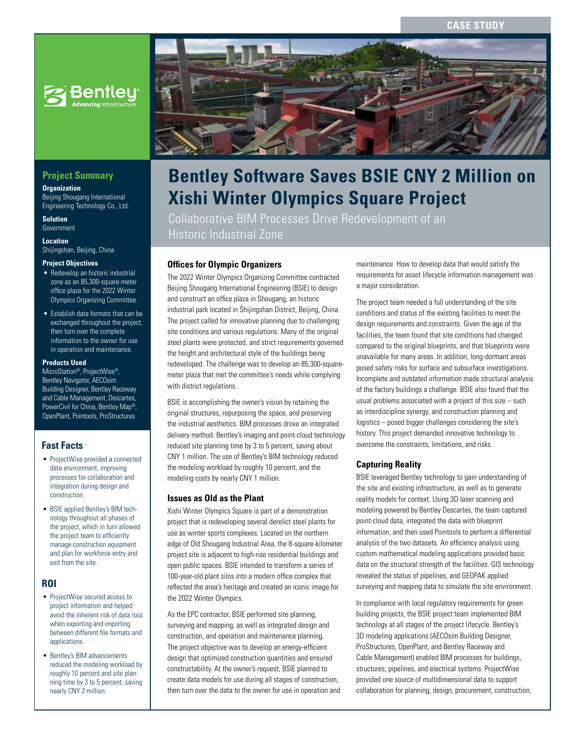# **CASE STUD**



# **Project Summary**

**Organization**

Beijing Shougang International Engineering Technology Co., Ltd.

**Solution** Government

**Location** Shijingshan, Beijing, China

#### **Project Objectives**

- Redevelop an historic industrial zone as an 85,300-square-meter office plaza for the 2022 Winter Olympics Organizing Committee.
- Establish data formats that can be exchanged throughout the project, then turn over the complete information to the owner for use in operation and maintenance.

### **Products Used**

MicroStation®, ProjectWise®, Bentley Navigator, AECOsim Building Designer, Bentley Raceway and Cable Management, Descartes, PowerCivil for China, Bentley Map®, OpenPlant, Pointools, ProStructures

### **Fast Facts**

- ProjectWise provided a connected data environment, improving processes for collaboration and integration during design and construction.
- BSIE applied Bentley's BIM technology throughout all phases of the project, which in turn allowed the project team to efficiently manage construction equipment and plan for workforce entry and exit from the site.

### **ROI**

- ProjectWise secured access to project information and helped avoid the inherent risk of data loss when exporting and importing between different file formats and applications.
- Bentley's BIM advancements reduced the modeling workload by roughly 10 percent and site planning time by 3 to 5 percent, saving nearly CNY 2 million.



# **Bentley Software Saves BSIE CNY 2 Million on Xishi Winter Olympics Square Project**

Collaborative BIM Processes Drive Redevelopment of an Historic Industrial Zone

## **Offices for Olympic Organizers**

The 2022 Winter Olympics Organizing Committee contracted Beijing Shougang International Engineering (BSIE) to design and construct an office plaza in Shougang, an historic industrial park located in Shijingshan District, Beijing, China. The project called for innovative planning due to challenging site conditions and various regulations. Many of the original steel plants were protected, and strict requirements governed the height and architectural style of the buildings being redeveloped. The challenge was to develop an 85,300-squaremeter plaza that met the committee's needs while complying with district regulations.

BSIE is accomplishing the owner's vision by retaining the original structures, repurposing the space, and preserving the industrial aesthetics. BIM processes drove an integrated delivery method. Bentley's imaging and point-cloud technology reduced site planning time by 3 to 5 percent, saving about CNY 1 million. The use of Bentley's BIM technology reduced the modeling workload by roughly 10 percent, and the modeling costs by nearly CNY 1 million.

### **Issues as Old as the Plant**

Xishi Winter Olympics Square is part of a demonstration project that is redeveloping several derelict steel plants for use as winter sports complexes. Located on the northern edge of Old Shougang Industrial Area, the 8-square-kilometer project site is adjacent to high-rise residential buildings and open public spaces. BSIE intended to transform a series of 100-year-old plant silos into a modern office complex that reflected the area's heritage and created an iconic image for the 2022 Winter Olympics.

As the EPC contractor, BSIE performed site planning, surveying and mapping, as well as integrated design and construction, and operation and maintenance planning. The project objective was to develop an energy-efficient design that optimized construction quantities and ensured constructability. At the owner's request, BSIE planned to create data models for use during all stages of construction, then turn over the data to the owner for use in operation and maintenance. How to develop data that would satisfy the requirements for asset lifecycle information management was a major consideration.

The project team needed a full understanding of the site conditions and status of the existing facilities to meet the design requirements and constraints. Given the age of the facilities, the team found that site conditions had changed compared to the original blueprints, and that blueprints were unavailable for many areas. In addition, long-dormant areas posed safety risks for surface and subsurface investigations. Incomplete and outdated information made structural analysis of the factory buildings a challenge. BSIE also found that the usual problems associated with a project of this size – such as interdiscipline synergy, and construction planning and logistics – posed bigger challenges considering the site's history. This project demanded innovative technology to overcome the constraints, limitations, and risks.

### **Capturing Reality**

BSIE leveraged Bentley technology to gain understanding of the site and existing infrastructure, as well as to generate reality models for context. Using 3D laser scanning and modeling powered by Bentley Descartes, the team captured point-cloud data, integrated the data with blueprint information, and then used Pointools to perform a differential analysis of the two datasets. An efficiency analysis using custom mathematical modeling applications provided basic data on the structural strength of the facilities. GIS technology revealed the status of pipelines, and GEOPAK applied surveying and mapping data to simulate the site environment.

In compliance with local regulatory requirements for green building projects, the BSIE project team implemented BIM technology at all stages of the project lifecycle. Bentley's 3D modeling applications (AECOsim Building Designer, ProStructures, OpenPlant, and Bentley Raceway and Cable Management) enabled BIM processes for buildings, structures, pipelines, and electrical systems. ProjectWise provided one source of multidimensional data to support collaboration for planning, design, procurement, construction,